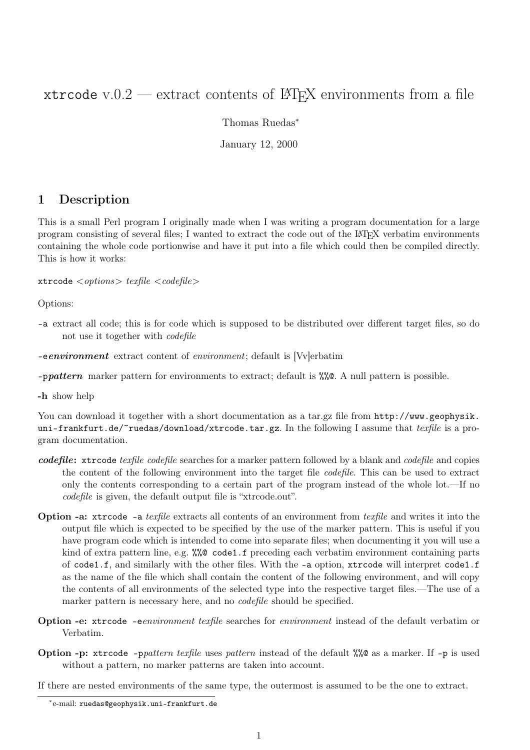## xtrcode v.0.2 — extract contents of  $\Delta T$ <sub>F</sub>X environments from a file

Thomas Ruedas<sup>∗</sup>

January 12, 2000

## 1 Description

This is a small Perl program I originally made when I was writing a program documentation for a large program consisting of several files; I wanted to extract the code out of the LATEX verbatim environments containing the whole code portionwise and have it put into a file which could then be compiled directly. This is how it works:

xtrcode *<options> texfile <codefile>*

Options:

- -a extract all code; this is for code which is supposed to be distributed over different target files, so do not use it together with *codefile*
- -e*environment* extract content of *environment*; default is [Vv]erbatim
- -p*pattern* marker pattern for environments to extract; default is %%@. A null pattern is possible.

-h show help

You can download it together with a short documentation as a tar.gz file from http://www.geophysik. uni-frankfurt.de/~ruedas/download/xtrcode.tar.gz. In the following I assume that *texfile* is a program documentation.

- *codefile*: xtrcode *texfile codefile* searches for a marker pattern followed by a blank and *codefile* and copies the content of the following environment into the target file *codefile*. This can be used to extract only the contents corresponding to a certain part of the program instead of the whole lot.—If no *codefile* is given, the default output file is "xtrcode.out".
- Option -a: xtrcode -a *texfile* extracts all contents of an environment from *texfile* and writes it into the output file which is expected to be specified by the use of the marker pattern. This is useful if you have program code which is intended to come into separate files; when documenting it you will use a kind of extra pattern line, e.g. %%@ code1.f preceding each verbatim environment containing parts of code1.f, and similarly with the other files. With the -a option, xtrcode will interpret code1.f as the name of the file which shall contain the content of the following environment, and will copy the contents of all environments of the selected type into the respective target files.—The use of a marker pattern is necessary here, and no *codefile* should be specified.
- Option -e: xtrcode -e*environment texfile* searches for *environment* instead of the default verbatim or Verbatim.
- Option -p: xtrcode -p*pattern texfile* uses *pattern* instead of the default %%@ as a marker. If -p is used without a pattern, no marker patterns are taken into account.
- If there are nested environments of the same type, the outermost is assumed to be the one to extract.

<sup>∗</sup>e-mail: ruedas@geophysik.uni-frankfurt.de